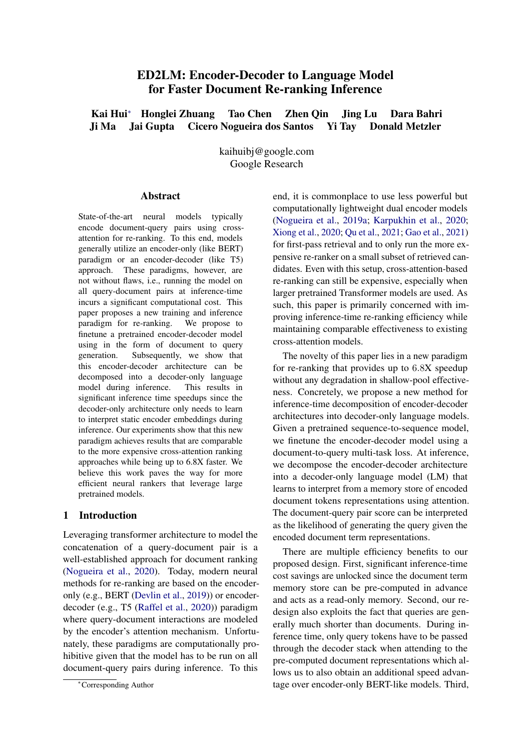# ED2LM: Encoder-Decoder to Language Model for Faster Document Re-ranking Inference

Kai Hui<sup>∗</sup> Honglei Zhuang Tao Chen Zhen Qin Jing Lu Dara Bahri Ji Ma Jai Gupta Cicero Nogueira dos Santos Yi Tay Donald Metzler

> kaihuibj@google.com Google Research

### **Abstract**

State-of-the-art neural models typically encode document-query pairs using crossattention for re-ranking. To this end, models generally utilize an encoder-only (like BERT) paradigm or an encoder-decoder (like T5) approach. These paradigms, however, are not without flaws, i.e., running the model on all query-document pairs at inference-time incurs a significant computational cost. This paper proposes a new training and inference paradigm for re-ranking. We propose to finetune a pretrained encoder-decoder model using in the form of document to query generation. Subsequently, we show that this encoder-decoder architecture can be decomposed into a decoder-only language model during inference. This results in significant inference time speedups since the decoder-only architecture only needs to learn to interpret static encoder embeddings during inference. Our experiments show that this new paradigm achieves results that are comparable to the more expensive cross-attention ranking approaches while being up to 6.8X faster. We believe this work paves the way for more efficient neural rankers that leverage large pretrained models.

# 1 Introduction

Leveraging transformer architecture to model the concatenation of a query-document pair is a well-established approach for document ranking [\(Nogueira et al.,](#page-10-0) [2020\)](#page-10-0). Today, modern neural methods for re-ranking are based on the encoderonly (e.g., BERT [\(Devlin et al.,](#page-9-0) [2019\)](#page-9-0)) or encoderdecoder (e.g., T5 [\(Raffel et al.,](#page-10-1) [2020\)](#page-10-1)) paradigm where query-document interactions are modeled by the encoder's attention mechanism. Unfortunately, these paradigms are computationally prohibitive given that the model has to be run on all document-query pairs during inference. To this

end, it is commonplace to use less powerful but computationally lightweight dual encoder models [\(Nogueira et al.,](#page-10-2) [2019a;](#page-10-2) [Karpukhin et al.,](#page-9-1) [2020;](#page-9-1) [Xiong et al.,](#page-11-0) [2020;](#page-11-0) [Qu et al.,](#page-10-3) [2021;](#page-10-3) [Gao et al.,](#page-9-2) [2021\)](#page-9-2) for first-pass retrieval and to only run the more expensive re-ranker on a small subset of retrieved candidates. Even with this setup, cross-attention-based re-ranking can still be expensive, especially when larger pretrained Transformer models are used. As such, this paper is primarily concerned with improving inference-time re-ranking efficiency while maintaining comparable effectiveness to existing cross-attention models.

The novelty of this paper lies in a new paradigm for re-ranking that provides up to 6.8X speedup without any degradation in shallow-pool effectiveness. Concretely, we propose a new method for inference-time decomposition of encoder-decoder architectures into decoder-only language models. Given a pretrained sequence-to-sequence model, we finetune the encoder-decoder model using a document-to-query multi-task loss. At inference, we decompose the encoder-decoder architecture into a decoder-only language model (LM) that learns to interpret from a memory store of encoded document tokens representations using attention. The document-query pair score can be interpreted as the likelihood of generating the query given the encoded document term representations.

There are multiple efficiency benefits to our proposed design. First, significant inference-time cost savings are unlocked since the document term memory store can be pre-computed in advance and acts as a read-only memory. Second, our redesign also exploits the fact that queries are generally much shorter than documents. During inference time, only query tokens have to be passed through the decoder stack when attending to the pre-computed document representations which allows us to also obtain an additional speed advantage over encoder-only BERT-like models. Third,

<sup>∗</sup>Corresponding Author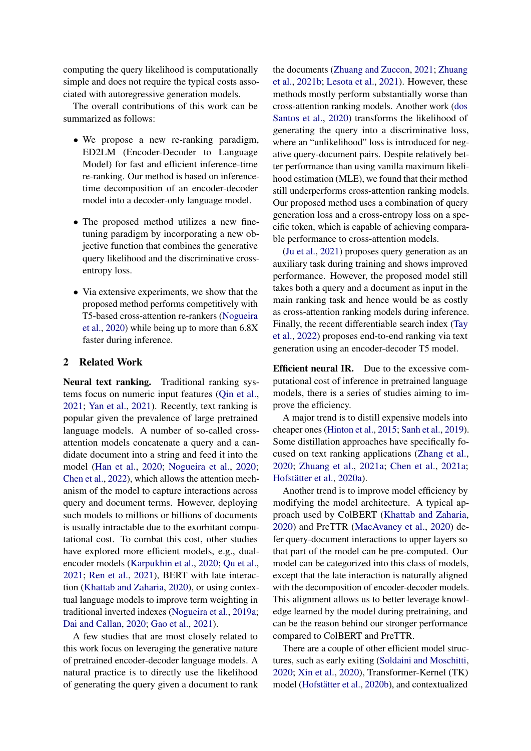computing the query likelihood is computationally simple and does not require the typical costs associated with autoregressive generation models.

The overall contributions of this work can be summarized as follows:

- We propose a new re-ranking paradigm, ED2LM (Encoder-Decoder to Language Model) for fast and efficient inference-time re-ranking. Our method is based on inferencetime decomposition of an encoder-decoder model into a decoder-only language model.
- The proposed method utilizes a new finetuning paradigm by incorporating a new objective function that combines the generative query likelihood and the discriminative crossentropy loss.
- Via extensive experiments, we show that the proposed method performs competitively with T5-based cross-attention re-rankers [\(Nogueira](#page-10-0) [et al.,](#page-10-0) [2020\)](#page-10-0) while being up to more than 6.8X faster during inference.

# 2 Related Work

Neural text ranking. Traditional ranking systems focus on numeric input features [\(Qin et al.,](#page-10-4) [2021;](#page-10-4) [Yan et al.,](#page-11-1) [2021\)](#page-11-1). Recently, text ranking is popular given the prevalence of large pretrained language models. A number of so-called crossattention models concatenate a query and a candidate document into a string and feed it into the model [\(Han et al.,](#page-9-3) [2020;](#page-9-3) [Nogueira et al.,](#page-10-0) [2020;](#page-10-0) [Chen et al.,](#page-9-4) [2022\)](#page-9-4), which allows the attention mechanism of the model to capture interactions across query and document terms. However, deploying such models to millions or billions of documents is usually intractable due to the exorbitant computational cost. To combat this cost, other studies have explored more efficient models, e.g., dualencoder models [\(Karpukhin et al.,](#page-9-1) [2020;](#page-9-1) [Qu et al.,](#page-10-3) [2021;](#page-10-3) [Ren et al.,](#page-10-5) [2021\)](#page-10-5), BERT with late interaction [\(Khattab and Zaharia,](#page-10-6) [2020\)](#page-10-6), or using contextual language models to improve term weighting in traditional inverted indexes [\(Nogueira et al.,](#page-10-2) [2019a;](#page-10-2) [Dai and Callan,](#page-9-5) [2020;](#page-9-5) [Gao et al.,](#page-9-2) [2021\)](#page-9-2).

A few studies that are most closely related to this work focus on leveraging the generative nature of pretrained encoder-decoder language models. A natural practice is to directly use the likelihood of generating the query given a document to rank

the documents [\(Zhuang and Zuccon,](#page-11-2) [2021;](#page-11-2) [Zhuang](#page-11-3) [et al.,](#page-11-3) [2021b;](#page-11-3) [Lesota et al.,](#page-10-7) [2021\)](#page-10-7). However, these methods mostly perform substantially worse than cross-attention ranking models. Another work [\(dos](#page-9-6) [Santos et al.,](#page-9-6) [2020\)](#page-9-6) transforms the likelihood of generating the query into a discriminative loss, where an "unlikelihood" loss is introduced for negative query-document pairs. Despite relatively better performance than using vanilla maximum likelihood estimation (MLE), we found that their method still underperforms cross-attention ranking models. Our proposed method uses a combination of query generation loss and a cross-entropy loss on a specific token, which is capable of achieving comparable performance to cross-attention models.

[\(Ju et al.,](#page-9-7) [2021\)](#page-9-7) proposes query generation as an auxiliary task during training and shows improved performance. However, the proposed model still takes both a query and a document as input in the main ranking task and hence would be as costly as cross-attention ranking models during inference. Finally, the recent differentiable search index [\(Tay](#page-11-4) [et al.,](#page-11-4) [2022\)](#page-11-4) proposes end-to-end ranking via text generation using an encoder-decoder T5 model.

Efficient neural IR. Due to the excessive computational cost of inference in pretrained language models, there is a series of studies aiming to improve the efficiency.

A major trend is to distill expensive models into cheaper ones [\(Hinton et al.,](#page-9-8) [2015;](#page-9-8) [Sanh et al.,](#page-11-5) [2019\)](#page-11-5). Some distillation approaches have specifically focused on text ranking applications [\(Zhang et al.,](#page-11-6) [2020;](#page-11-6) [Zhuang et al.,](#page-11-7) [2021a;](#page-11-7) [Chen et al.,](#page-9-9) [2021a;](#page-9-9) [Hofstätter et al.,](#page-9-10) [2020a\)](#page-9-10).

Another trend is to improve model efficiency by modifying the model architecture. A typical approach used by ColBERT [\(Khattab and Zaharia,](#page-10-6) [2020\)](#page-10-6) and PreTTR [\(MacAvaney et al.,](#page-10-8) [2020\)](#page-10-8) defer query-document interactions to upper layers so that part of the model can be pre-computed. Our model can be categorized into this class of models, except that the late interaction is naturally aligned with the decomposition of encoder-decoder models. This alignment allows us to better leverage knowledge learned by the model during pretraining, and can be the reason behind our stronger performance compared to ColBERT and PreTTR.

There are a couple of other efficient model structures, such as early exiting [\(Soldaini and Moschitti,](#page-11-8) [2020;](#page-11-8) [Xin et al.,](#page-11-9) [2020\)](#page-11-9), Transformer-Kernel (TK) model [\(Hofstätter et al.,](#page-9-11) [2020b\)](#page-9-11), and contextualized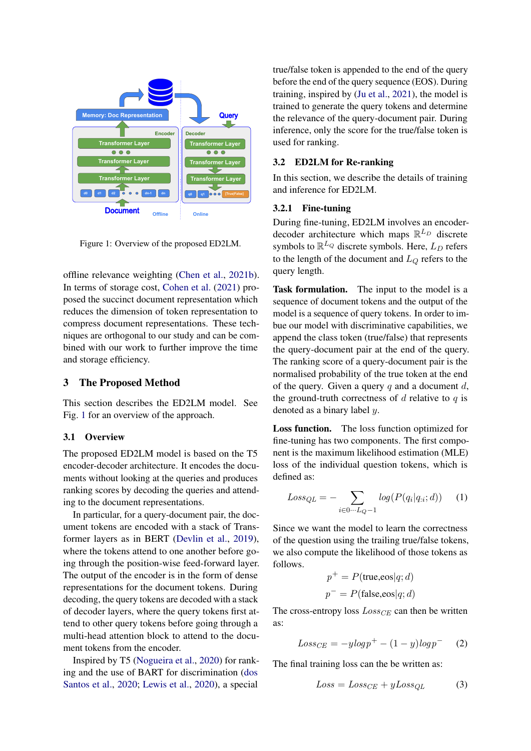<span id="page-2-0"></span>

Figure 1: Overview of the proposed ED2LM.

offline relevance weighting [\(Chen et al.,](#page-9-12) [2021b\)](#page-9-12). In terms of storage cost, [Cohen et al.](#page-9-13) [\(2021\)](#page-9-13) proposed the succinct document representation which reduces the dimension of token representation to compress document representations. These techniques are orthogonal to our study and can be combined with our work to further improve the time and storage efficiency.

### 3 The Proposed Method

This section describes the ED2LM model. See Fig. [1](#page-2-0) for an overview of the approach.

#### 3.1 Overview

The proposed ED2LM model is based on the T5 encoder-decoder architecture. It encodes the documents without looking at the queries and produces ranking scores by decoding the queries and attending to the document representations.

In particular, for a query-document pair, the document tokens are encoded with a stack of Transformer layers as in BERT [\(Devlin et al.,](#page-9-0) [2019\)](#page-9-0), where the tokens attend to one another before going through the position-wise feed-forward layer. The output of the encoder is in the form of dense representations for the document tokens. During decoding, the query tokens are decoded with a stack of decoder layers, where the query tokens first attend to other query tokens before going through a multi-head attention block to attend to the document tokens from the encoder.

Inspired by T5 [\(Nogueira et al.,](#page-10-0) [2020\)](#page-10-0) for ranking and the use of BART for discrimination [\(dos](#page-9-6) [Santos et al.,](#page-9-6) [2020;](#page-9-6) [Lewis et al.,](#page-10-9) [2020\)](#page-10-9), a special

true/false token is appended to the end of the query before the end of the query sequence (EOS). During training, inspired by [\(Ju et al.,](#page-9-7) [2021\)](#page-9-7), the model is trained to generate the query tokens and determine the relevance of the query-document pair. During inference, only the score for the true/false token is used for ranking.

# 3.2 ED2LM for Re-ranking

In this section, we describe the details of training and inference for ED2LM.

#### 3.2.1 Fine-tuning

During fine-tuning, ED2LM involves an encoderdecoder architecture which maps  $\mathbb{R}^{L_D}$  discrete symbols to  $\mathbb{R}^{L_Q}$  discrete symbols. Here,  $L_D$  refers to the length of the document and  $L_Q$  refers to the query length.

Task formulation. The input to the model is a sequence of document tokens and the output of the model is a sequence of query tokens. In order to imbue our model with discriminative capabilities, we append the class token (true/false) that represents the query-document pair at the end of the query. The ranking score of a query-document pair is the normalised probability of the true token at the end of the query. Given a query  $q$  and a document  $d$ , the ground-truth correctness of  $d$  relative to  $q$  is denoted as a binary label y.

Loss function. The loss function optimized for fine-tuning has two components. The first component is the maximum likelihood estimation (MLE) loss of the individual question tokens, which is defined as:

<span id="page-2-2"></span>
$$
Loss_{QL} = -\sum_{i \in 0 \cdots L_Q - 1} log(P(q_i | q_{:i}; d)) \qquad (1)
$$

Since we want the model to learn the correctness of the question using the trailing true/false tokens, we also compute the likelihood of those tokens as follows.

$$
p^{+} = P(\text{true,}\text{eos}|q; d)
$$

$$
p^{-} = P(\text{false,}\text{eos}|q; d)
$$

<span id="page-2-3"></span>The cross-entropy loss  $Loss_{CE}$  can then be written as:

$$
Loss_{CE} = -ylog p^{+} - (1 - y)log p^{-}
$$
 (2)

The final training loss can the be written as:

<span id="page-2-1"></span>
$$
Loss = Loss_{CE} + yLoss_{QL} \tag{3}
$$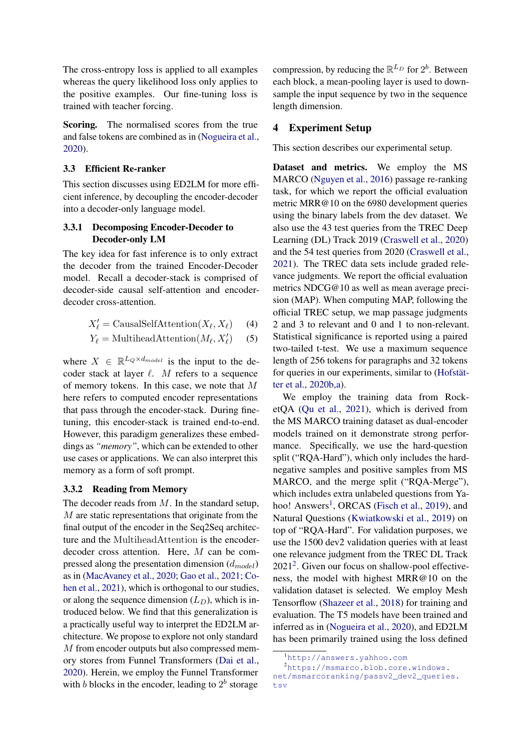The cross-entropy loss is applied to all examples whereas the query likelihood loss only applies to the positive examples. Our fine-tuning loss is trained with teacher forcing.

Scoring. The normalised scores from the true and false tokens are combined as in [\(Nogueira et al.,](#page-10-0) [2020\)](#page-10-0).

#### 3.3 Efficient Re-ranker

This section discusses using ED2LM for more efficient inference, by decoupling the encoder-decoder into a decoder-only language model.

# 3.3.1 Decomposing Encoder-Decoder to Decoder-only LM

The key idea for fast inference is to only extract the decoder from the trained Encoder-Decoder model. Recall a decoder-stack is comprised of decoder-side causal self-attention and encoderdecoder cross-attention.

$$
X'_{\ell} = \text{CausalSelfAttention}(X_{\ell}, X_{\ell}) \tag{4}
$$

$$
Y_{\ell} = \text{MultiheadAttention}(M_{\ell}, X_{\ell}') \tag{5}
$$

where  $X \in \mathbb{R}^{L_Q \times d_{model}}$  is the input to the decoder stack at layer  $\ell$ . M refers to a sequence of memory tokens. In this case, we note that M here refers to computed encoder representations that pass through the encoder-stack. During finetuning, this encoder-stack is trained end-to-end. However, this paradigm generalizes these embeddings as *"memory"*, which can be extended to other use cases or applications. We can also interpret this memory as a form of soft prompt.

#### 3.3.2 Reading from Memory

The decoder reads from  $M$ . In the standard setup, M are static representations that originate from the final output of the encoder in the Seq2Seq architecture and the MultiheadAttention is the encoderdecoder cross attention. Here, M can be compressed along the presentation dimension  $(d_{model})$ as in [\(MacAvaney et al.,](#page-10-8) [2020;](#page-10-8) [Gao et al.,](#page-9-2) [2021;](#page-9-2) [Co](#page-9-13)[hen et al.,](#page-9-13) [2021\)](#page-9-13), which is orthogonal to our studies, or along the sequence dimension  $(L_D)$ , which is introduced below. We find that this generalization is a practically useful way to interpret the ED2LM architecture. We propose to explore not only standard M from encoder outputs but also compressed memory stores from Funnel Transformers [\(Dai et al.,](#page-9-14) [2020\)](#page-9-14). Herein, we employ the Funnel Transformer with b blocks in the encoder, leading to  $2^b$  storage

compression, by reducing the  $\mathbb{R}^{L_D}$  for  $2^b$ . Between each block, a mean-pooling layer is used to downsample the input sequence by two in the sequence length dimension.

## 4 Experiment Setup

This section describes our experimental setup.

Dataset and metrics. We employ the MS MARCO [\(Nguyen et al.,](#page-10-10) [2016\)](#page-10-10) passage re-ranking task, for which we report the official evaluation metric MRR@10 on the 6980 development queries using the binary labels from the dev dataset. We also use the 43 test queries from the TREC Deep Learning (DL) Track 2019 [\(Craswell et al.,](#page-9-15) [2020\)](#page-9-15) and the 54 test queries from 2020 [\(Craswell et al.,](#page-9-16) [2021\)](#page-9-16). The TREC data sets include graded relevance judgments. We report the official evaluation metrics NDCG@10 as well as mean average precision (MAP). When computing MAP, following the official TREC setup, we map passage judgments 2 and 3 to relevant and 0 and 1 to non-relevant. Statistical significance is reported using a paired two-tailed t-test. We use a maximum sequence length of 256 tokens for paragraphs and 32 tokens for queries in our experiments, similar to [\(Hofstät](#page-9-11)[ter et al.,](#page-9-11) [2020b](#page-9-11)[,a\)](#page-9-10).

We employ the training data from RocketQA [\(Qu et al.,](#page-10-3) [2021\)](#page-10-3), which is derived from the MS MARCO training dataset as dual-encoder models trained on it demonstrate strong performance. Specifically, we use the hard-question split ("RQA-Hard"), which only includes the hardnegative samples and positive samples from MS MARCO, and the merge split ("RQA-Merge"), which includes extra unlabeled questions from Ya-hoo! Answers<sup>[1](#page-3-0)</sup>, ORCAS [\(Fisch et al.,](#page-9-17) [2019\)](#page-9-17), and Natural Questions [\(Kwiatkowski et al.,](#page-10-11) [2019\)](#page-10-11) on top of "RQA-Hard". For validation purposes, we use the 1500 dev2 validation queries with at least one relevance judgment from the TREC DL Track 2021[2](#page-3-1) . Given our focus on shallow-pool effectiveness, the model with highest MRR@10 on the validation dataset is selected. We employ Mesh Tensorflow [\(Shazeer et al.,](#page-11-10) [2018\)](#page-11-10) for training and evaluation. The T5 models have been trained and inferred as in [\(Nogueira et al.,](#page-10-0) [2020\)](#page-10-0), and ED2LM has been primarily trained using the loss defined

<span id="page-3-1"></span><span id="page-3-0"></span><sup>1</sup><http://answers.yahhoo.com>

<sup>2</sup>[https://msmarco.blob.core.windows.](https://msmarco.blob.core.windows.net/msmarcoranking/passv2_dev2_queries.tsv) [net/msmarcoranking/passv2\\_dev2\\_queries.](https://msmarco.blob.core.windows.net/msmarcoranking/passv2_dev2_queries.tsv) [tsv](https://msmarco.blob.core.windows.net/msmarcoranking/passv2_dev2_queries.tsv)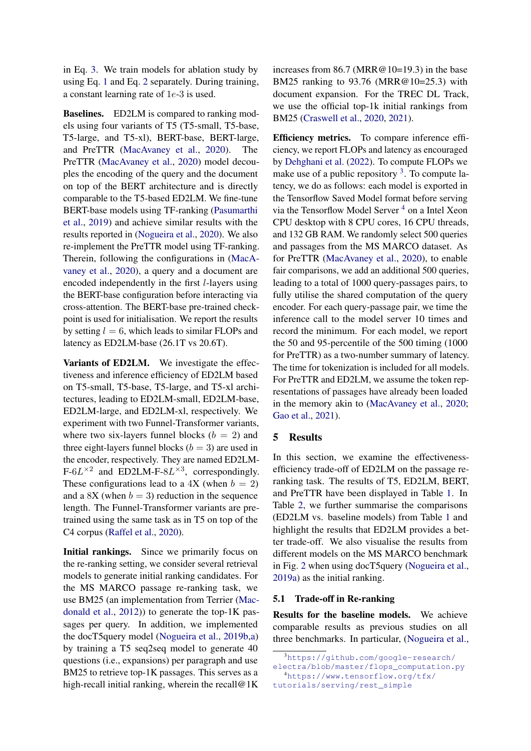in Eq. [3.](#page-2-1) We train models for ablation study by using Eq. [1](#page-2-2) and Eq. [2](#page-2-3) separately. During training, a constant learning rate of 1e-3 is used.

Baselines. ED2LM is compared to ranking models using four variants of T5 (T5-small, T5-base, T5-large, and T5-xl), BERT-base, BERT-large, and PreTTR [\(MacAvaney et al.,](#page-10-8) [2020\)](#page-10-8). The PreTTR [\(MacAvaney et al.,](#page-10-8) [2020\)](#page-10-8) model decouples the encoding of the query and the document on top of the BERT architecture and is directly comparable to the T5-based ED2LM. We fine-tune BERT-base models using TF-ranking [\(Pasumarthi](#page-10-12) [et al.,](#page-10-12) [2019\)](#page-10-12) and achieve similar results with the results reported in [\(Nogueira et al.,](#page-10-0) [2020\)](#page-10-0). We also re-implement the PreTTR model using TF-ranking. Therein, following the configurations in [\(MacA](#page-10-8)[vaney et al.,](#page-10-8) [2020\)](#page-10-8), a query and a document are encoded independently in the first l-layers using the BERT-base configuration before interacting via cross-attention. The BERT-base pre-trained checkpoint is used for initialisation. We report the results by setting  $l = 6$ , which leads to similar FLOPs and latency as ED2LM-base (26.1T vs 20.6T).

Variants of ED2LM. We investigate the effectiveness and inference efficiency of ED2LM based on T5-small, T5-base, T5-large, and T5-xl architectures, leading to ED2LM-small, ED2LM-base, ED2LM-large, and ED2LM-xl, respectively. We experiment with two Funnel-Transformer variants, where two six-layers funnel blocks  $(b = 2)$  and three eight-layers funnel blocks  $(b = 3)$  are used in the encoder, respectively. They are named ED2LM- $F-6L^{\times 2}$  and ED2LM-F-8 $L^{\times 3}$ , correspondingly. These configurations lead to a  $4X$  (when  $b = 2$ ) and a 8X (when  $b = 3$ ) reduction in the sequence length. The Funnel-Transformer variants are pretrained using the same task as in T5 on top of the C4 corpus [\(Raffel et al.,](#page-10-1) [2020\)](#page-10-1).

Initial rankings. Since we primarily focus on the re-ranking setting, we consider several retrieval models to generate initial ranking candidates. For the MS MARCO passage re-ranking task, we use BM25 (an implementation from Terrier [\(Mac](#page-10-13)[donald et al.,](#page-10-13) [2012\)](#page-10-13)) to generate the top-1K passages per query. In addition, we implemented the docT5query model [\(Nogueira et al.,](#page-10-14) [2019b](#page-10-14)[,a\)](#page-10-2) by training a T5 seq2seq model to generate 40 questions (i.e., expansions) per paragraph and use BM25 to retrieve top-1K passages. This serves as a high-recall initial ranking, wherein the recall@1K

increases from 86.7 (MRR@10=19.3) in the base BM25 ranking to 93.76 (MRR@10=25.3) with document expansion. For the TREC DL Track, we use the official top-1k initial rankings from BM25 [\(Craswell et al.,](#page-9-15) [2020,](#page-9-15) [2021\)](#page-9-16).

Efficiency metrics. To compare inference efficiency, we report FLOPs and latency as encouraged by [Dehghani et al.](#page-9-18) [\(2022\)](#page-9-18). To compute FLOPs we make use of a public repository  $3$ . To compute latency, we do as follows: each model is exported in the Tensorflow Saved Model format before serving via the Tensorflow Model Server<sup>[4](#page-4-1)</sup> on a Intel Xeon CPU desktop with 8 CPU cores, 16 CPU threads, and 132 GB RAM. We randomly select 500 queries and passages from the MS MARCO dataset. As for PreTTR [\(MacAvaney et al.,](#page-10-8) [2020\)](#page-10-8), to enable fair comparisons, we add an additional 500 queries, leading to a total of 1000 query-passages pairs, to fully utilise the shared computation of the query encoder. For each query-passage pair, we time the inference call to the model server 10 times and record the minimum. For each model, we report the 50 and 95-percentile of the 500 timing (1000 for PreTTR) as a two-number summary of latency. The time for tokenization is included for all models. For PreTTR and ED2LM, we assume the token representations of passages have already been loaded in the memory akin to [\(MacAvaney et al.,](#page-10-8) [2020;](#page-10-8) [Gao et al.,](#page-9-2) [2021\)](#page-9-2).

### 5 Results

In this section, we examine the effectivenessefficiency trade-off of ED2LM on the passage reranking task. The results of T5, ED2LM, BERT, and PreTTR have been displayed in Table [1.](#page-5-0) In Table [2,](#page-6-0) we further summarise the comparisons (ED2LM vs. baseline models) from Table [1](#page-5-0) and highlight the results that ED2LM provides a better trade-off. We also visualise the results from different models on the MS MARCO benchmark in Fig. [2](#page-5-1) when using docT5query [\(Nogueira et al.,](#page-10-2) [2019a\)](#page-10-2) as the initial ranking.

# 5.1 Trade-off in Re-ranking

Results for the baseline models. We achieve comparable results as previous studies on all three benchmarks. In particular, [\(Nogueira et al.,](#page-10-0)

<sup>3</sup>[https://github.com/google-research/](https://github.com/google-research/electra/blob/master/flops_computation.py)

<span id="page-4-1"></span><span id="page-4-0"></span>[electra/blob/master/flops\\_computation.py](https://github.com/google-research/electra/blob/master/flops_computation.py) <sup>4</sup>[https://www.tensorflow.org/tfx/](https://www.tensorflow.org/tfx/tutorials/serving/rest_simple)

[tutorials/serving/rest\\_simple](https://www.tensorflow.org/tfx/tutorials/serving/rest_simple)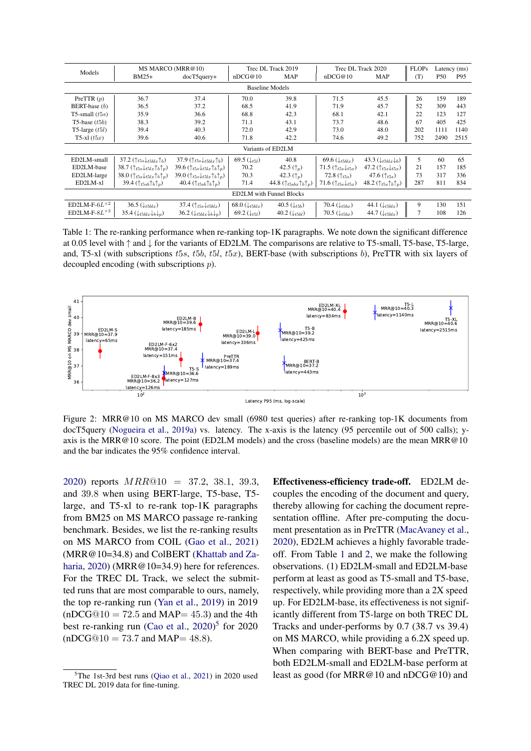<span id="page-5-0"></span>

| Models                          | MS MARCO (MRR@10)                                               |                                                                 | Trec DL Track 2019          |                                               | Trec DL Track 2020                      |                                             | <b>FLOPs</b> | Latency (ms) |      |
|---------------------------------|-----------------------------------------------------------------|-----------------------------------------------------------------|-----------------------------|-----------------------------------------------|-----------------------------------------|---------------------------------------------|--------------|--------------|------|
|                                 | $BM25+$                                                         | $docT5query+$                                                   | nDCG@10                     | <b>MAP</b>                                    | nDCG@10                                 | <b>MAP</b>                                  | (T)          | P50          | P95  |
| <b>Baseline Models</b>          |                                                                 |                                                                 |                             |                                               |                                         |                                             |              |              |      |
| PreTTR $(p)$                    | 36.7                                                            | 37.4                                                            | 70.0                        | 39.8                                          | 71.5                                    | 45.5                                        | 26           | 159          | 189  |
| BERT-base $(b)$                 | 36.5                                                            | 37.2                                                            | 68.5                        | 41.9                                          | 71.9                                    | 45.7                                        | 52           | 309          | 443  |
| T5-small $(t5s)$                | 35.9                                                            | 36.6                                                            | 68.8                        | 42.3                                          | 68.1                                    | 42.1                                        | 22           | 123          | 127  |
| T5-base $(t5b)$                 | 38.3                                                            | 39.2                                                            | 71.1                        | 43.1                                          | 73.7                                    | 48.6                                        | 67           | 405          | 425  |
| T5-large $(t5l)$                | 39.4                                                            | 40.3                                                            | 72.0                        | 42.9                                          | 73.0                                    | 48.0                                        | 202          | 1111         | 1140 |
| T5-xl $(t5x)$                   | 39.6                                                            | 40.6                                                            | 71.8                        | 42.2                                          | 74.6                                    | 49.2                                        | 752          | 2490         | 2515 |
| Variants of ED2LM               |                                                                 |                                                                 |                             |                                               |                                         |                                             |              |              |      |
| ED2LM-small                     | 37.2 $(\uparrow_{t5s} \downarrow_{t5blx} \uparrow_b)$           | 37.9 $(\uparrow_{t5s} \downarrow_{t5blx} \uparrow_b)$           | 69.5 $(\downarrow_{t5l})$   | 40.8                                          | 69.6 $(\downarrow_{t5blx})$             | 43.3 $(\downarrow t5blx \downarrow b)$      | 5            | 60           | 65   |
| ED2LM-base                      | 38.7 $(\uparrow_{t5s} \downarrow_{t5lx} \uparrow_b \uparrow_p)$ | 39.6 $(\uparrow_{t5s} \downarrow_{t5lx} \uparrow_b \uparrow_p)$ | 70.2                        | 42.5 $(\uparrow_n)$                           | 71.5 $(\uparrow_{t5s}\downarrow_{t5x})$ | 47.2 $(\uparrow_{t5s} \downarrow_{t5x})$    | 21           | 157          | 185  |
| ED2LM-large                     | 38.0 $(\uparrow_{t5s}\downarrow_{t5lx}\uparrow_b\uparrow_p)$    | 39.0 $(\uparrow_{t5s}\downarrow_{t5lx}\uparrow_b\uparrow_p)$    | 70.3                        | 42.3 $(\uparrow_p)$                           | 72.8 $(\uparrow_{t5s})$                 | 47.6 $(\uparrow_{t5s})$                     | 73           | 317          | 336  |
| ED2LM-xl                        | 39.4 $(\uparrow_{t5sb}\uparrow_b\uparrow_p)$                    | 40.4 $(\uparrow_{t5sb}\uparrow_b\uparrow_p)$                    | 71.4                        | 44.8 $(\uparrow_{t5sbx}\uparrow_b\uparrow_p)$ | 71.6 $(\uparrow_{t5s}\downarrow_{t5x})$ | 48.2 $(\uparrow_{t5s}\uparrow_b\uparrow_p)$ | 287          | 811          | 834  |
| <b>ED2LM</b> with Funnel Blocks |                                                                 |                                                                 |                             |                                               |                                         |                                             |              |              |      |
| ED2LM-F- $6L^{\times 2}$        | 36.5 $(\downarrow_{t5blx})$                                     | 37.4 $(\uparrow_{t5s} \downarrow_{t5blx})$                      | 68.0 $(\downarrow_{t5blx})$ | 40.5 $(\downarrow_{t5b})$                     | 70.4 $(\downarrow_{t5bx})$              | 44.1 $(\downarrow_{t5blx})$                 | 9            | 130          | 151  |
| ED2LM-F- $8L^{\times 3}$        | 35.4 $(\downarrow_{t5blx} \downarrow_b \downarrow_p)$           | 36.2 $(\downarrow_{t5blx} \downarrow_b \downarrow_p)$           | 69.2 $(\downarrow_{t5l})$   | 40.2 $(\downarrow_{t5bl})$                    | 70.5 $(\downarrow_{t5bx})$              | 44.7 $(\downarrow_{t5blx})$                 |              | 108          | 126  |

Table 1: The re-ranking performance when re-ranking top-1K paragraphs. We note down the significant difference at 0.05 level with ↑ and ↓ for the variants of ED2LM. The comparisons are relative to T5-small, T5-base, T5-large, and, T5-xl (with subscriptions t5s, t5b, t5l, t5x), BERT-base (with subscriptions b), PreTTR with six layers of decoupled encoding (with subscriptions p).

<span id="page-5-1"></span>

Figure 2: MRR@10 on MS MARCO dev small (6980 test queries) after re-ranking top-1K documents from docT5query [\(Nogueira et al.,](#page-10-2) [2019a\)](#page-10-2) vs. latency. The x-axis is the latency (95 percentile out of 500 calls); yaxis is the MRR@10 score. The point (ED2LM models) and the cross (baseline models) are the mean MRR@10 and the bar indicates the 95% confidence interval.

[2020\)](#page-10-0) reports MRR@10 = 37.2, 38.1, 39.3, and 39.8 when using BERT-large, T5-base, T5 large, and T5-xl to re-rank top-1K paragraphs from BM25 on MS MARCO passage re-ranking benchmark. Besides, we list the re-ranking results on MS MARCO from COIL [\(Gao et al.,](#page-9-2) [2021\)](#page-9-2) (MRR@10=34.8) and ColBERT [\(Khattab and Za](#page-10-6)[haria,](#page-10-6) [2020\)](#page-10-6) (MRR@10=34.9) here for references. For the TREC DL Track, we select the submitted runs that are most comparable to ours, namely, the top re-ranking run [\(Yan et al.,](#page-11-11) [2019\)](#page-11-11) in 2019  $(nDCG@10 = 72.5$  and MAP= 45.3) and the 4th best re-ranking run [\(Cao et al.,](#page-9-19) [2020\)](#page-9-19)<sup>[5](#page-5-2)</sup> for 2020  $(nDCG@10 = 73.7$  and MAP= 48.8).

Effectiveness-efficiency trade-off. ED2LM decouples the encoding of the document and query, thereby allowing for caching the document representation offline. After pre-computing the document presentation as in PreTTR [\(MacAvaney et al.,](#page-10-8) [2020\)](#page-10-8), ED2LM achieves a highly favorable tradeoff. From Table [1](#page-5-0) and [2,](#page-6-0) we make the following observations. (1) ED2LM-small and ED2LM-base perform at least as good as T5-small and T5-base, respectively, while providing more than a 2X speed up. For ED2LM-base, its effectiveness is not significantly different from T5-large on both TREC DL Tracks and under-performs by 0.7 (38.7 vs 39.4) on MS MARCO, while providing a 6.2X speed up. When comparing with BERT-base and PreTTR, both ED2LM-small and ED2LM-base perform at least as good (for MRR@10 and nDCG@10) and

<span id="page-5-2"></span> ${}^{5}$ The 1st-3rd best runs [\(Qiao et al.,](#page-10-15) [2021\)](#page-10-15) in 2020 used TREC DL 2019 data for fine-tuning.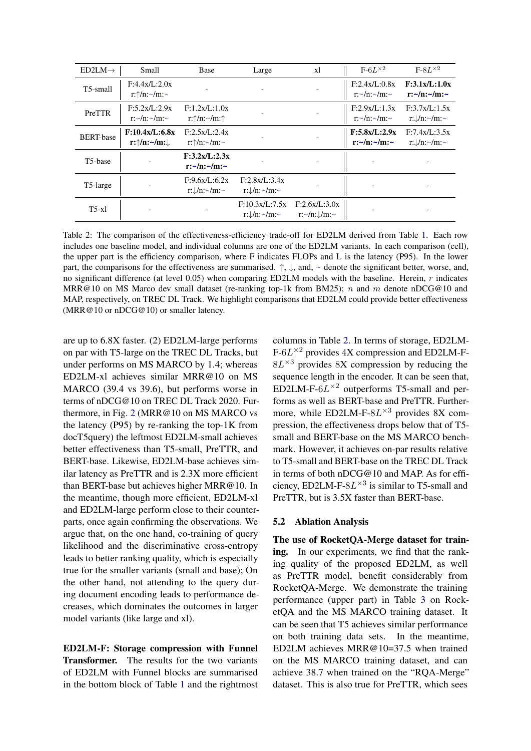<span id="page-6-0"></span>

| $ED2LM \rightarrow$   | Small                                                                     | Base                                                 | Large                                             | xl                                               | $F-6L^{\times 2}$                          | $F-8L^{\times 2}$                              |
|-----------------------|---------------------------------------------------------------------------|------------------------------------------------------|---------------------------------------------------|--------------------------------------------------|--------------------------------------------|------------------------------------------------|
| T <sub>5</sub> -small | F:4.4x/L:2.0x<br>$r:\uparrow/n:\sim/m:\sim$                               |                                                      |                                                   |                                                  | F:2.4x/L:0.8x<br>$r:~\sim/n:~\sim/m:~\sim$ | F:3.1x/L:1.0x<br>$r:\sim/n:\sim/m:\sim$        |
| PreTTR                | F:5.2x/L:2.9x<br>r:~/n:~/m:~                                              | F:1.2x/L:1.0x<br>$r:\uparrow/n:\sim/m:\uparrow$      |                                                   |                                                  | F:2.9x/L:1.3x<br>$r:~\sim/n:~\sim/m:~\sim$ | F:3.7x/L:1.5x<br>$r:\mathcal{L}/n:\sim/m:\sim$ |
| <b>BERT-base</b>      | F:10.4x/L:6.8x<br>$\mathbf{r}$ : $\uparrow$ / $\mathbf{n}$ : $\downarrow$ | F:2.5x/L:2.4x<br>r: $\uparrow$ /n: $\sim$ /m: $\sim$ |                                                   |                                                  | F:5.8x/L:2.9x<br>$r:\sim/n:\sim/m:\sim$    | F:7.4x/L:3.5x<br>$r:\mathcal{L}/n:\sim/m:\sim$ |
| T <sub>5</sub> -base  |                                                                           | F:3.2x/L:2.3x<br>$r:\sim/n:\sim/m:\sim$              |                                                   |                                                  |                                            |                                                |
| T5-large              |                                                                           | F:9.6x/L:6.2x<br>$r:\mathcal{L}/n:\sim/m:\sim$       | F:2.8x/L:3.4x<br>$r:\sqrt{n}$ : $\sim/m$ : $\sim$ |                                                  |                                            |                                                |
| $T_{5-x}$             |                                                                           |                                                      | F:10.3x/L:7.5x<br>$r:\ln^{-1}m$                   | F:2.6x/L:3.0x<br>$r:~\sim/n:~\downarrow/m:~\sim$ |                                            |                                                |

Table 2: The comparison of the effectiveness-efficiency trade-off for ED2LM derived from Table [1.](#page-5-0) Each row includes one baseline model, and individual columns are one of the ED2LM variants. In each comparison (cell), the upper part is the efficiency comparison, where F indicates FLOPs and L is the latency (P95). In the lower part, the comparisons for the effectiveness are summarised.  $\uparrow, \downarrow$ , and,  $\sim$  denote the significant better, worse, and, no significant difference (at level 0.05) when comparing ED2LM models with the baseline. Herein, r indicates MRR@10 on MS Marco dev small dataset (re-ranking top-1k from BM25); n and m denote nDCG@10 and MAP, respectively, on TREC DL Track. We highlight comparisons that ED2LM could provide better effectiveness (MRR@10 or nDCG@10) or smaller latency.

are up to 6.8X faster. (2) ED2LM-large performs on par with T5-large on the TREC DL Tracks, but under performs on MS MARCO by 1.4; whereas ED2LM-xl achieves similar MRR@10 on MS MARCO (39.4 vs 39.6), but performs worse in terms of nDCG@10 on TREC DL Track 2020. Furthermore, in Fig. [2](#page-5-1) (MRR@10 on MS MARCO vs the latency (P95) by re-ranking the top-1K from docT5query) the leftmost ED2LM-small achieves better effectiveness than T5-small, PreTTR, and BERT-base. Likewise, ED2LM-base achieves similar latency as PreTTR and is 2.3X more efficient than BERT-base but achieves higher MRR@10. In the meantime, though more efficient, ED2LM-xl and ED2LM-large perform close to their counterparts, once again confirming the observations. We argue that, on the one hand, co-training of query likelihood and the discriminative cross-entropy leads to better ranking quality, which is especially true for the smaller variants (small and base); On the other hand, not attending to the query during document encoding leads to performance decreases, which dominates the outcomes in larger model variants (like large and xl).

ED2LM-F: Storage compression with Funnel Transformer. The results for the two variants of ED2LM with Funnel blocks are summarised in the bottom block of Table [1](#page-5-0) and the rightmost columns in Table [2.](#page-6-0) In terms of storage, ED2LM- $F-6L^{\times 2}$  provides 4X compression and ED2LM-F- $8L \times 3$  provides 8X compression by reducing the sequence length in the encoder. It can be seen that, ED2LM-F- $6L^{\times 2}$  outperforms T5-small and performs as well as BERT-base and PreTTR. Furthermore, while ED2LM-F- $8L^{\times 3}$  provides 8X compression, the effectiveness drops below that of T5 small and BERT-base on the MS MARCO benchmark. However, it achieves on-par results relative to T5-small and BERT-base on the TREC DL Track in terms of both nDCG@10 and MAP. As for efficiency, ED2LM-F- $8L^{\times 3}$  is similar to T5-small and PreTTR, but is 3.5X faster than BERT-base.

### 5.2 Ablation Analysis

The use of RocketQA-Merge dataset for training. In our experiments, we find that the ranking quality of the proposed ED2LM, as well as PreTTR model, benefit considerably from RocketQA-Merge. We demonstrate the training performance (upper part) in Table [3](#page-7-0) on RocketQA and the MS MARCO training dataset. It can be seen that T5 achieves similar performance on both training data sets. In the meantime, ED2LM achieves MRR@10=37.5 when trained on the MS MARCO training dataset, and can achieve 38.7 when trained on the "RQA-Merge" dataset. This is also true for PreTTR, which sees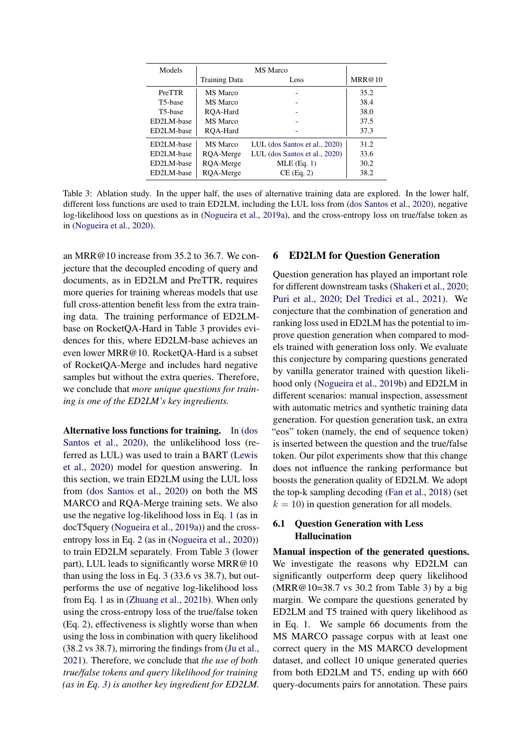<span id="page-7-0"></span>

| Models               |                      |                               |        |
|----------------------|----------------------|-------------------------------|--------|
|                      | <b>Training Data</b> | Loss                          | MRR@10 |
| <b>PreTTR</b>        | <b>MS</b> Marco      |                               | 35.2   |
| T <sub>5</sub> -base | <b>MS</b> Marco      |                               | 38.4   |
| T <sub>5</sub> -base | ROA-Hard             |                               | 38.0   |
| ED2LM-base           | <b>MS</b> Marco      |                               | 37.5   |
| ED2LM-base           | ROA-Hard             |                               | 37.3   |
| ED2LM-base           | <b>MS</b> Marco      | LUL (dos Santos et al., 2020) | 31.2   |
| ED2LM-base           | ROA-Merge            | LUL (dos Santos et al., 2020) | 33.6   |
| ED2LM-base           | ROA-Merge            | MLE(Eq. 1)                    | 30.2   |
| ED2LM-base           | RQA-Merge            | $CE$ (Eq. 2)                  | 38.2   |

Table 3: Ablation study. In the upper half, the uses of alternative training data are explored. In the lower half, different loss functions are used to train ED2LM, including the LUL loss from [\(dos Santos et al.,](#page-9-6) [2020\)](#page-9-6), negative log-likelihood loss on questions as in [\(Nogueira et al.,](#page-10-2) [2019a\)](#page-10-2), and the cross-entropy loss on true/false token as in [\(Nogueira et al.,](#page-10-0) [2020\)](#page-10-0).

an MRR@10 increase from 35.2 to 36.7. We conjecture that the decoupled encoding of query and documents, as in ED2LM and PreTTR, requires more queries for training whereas models that use full cross-attention benefit less from the extra training data. The training performance of ED2LMbase on RocketQA-Hard in Table [3](#page-7-0) provides evidences for this, where ED2LM-base achieves an even lower MRR@10. RocketQA-Hard is a subset of RocketQA-Merge and includes hard negative samples but without the extra queries. Therefore, we conclude that *more unique questions for training is one of the ED2LM's key ingredients.*

Alternative loss functions for training. In [\(dos](#page-9-6) [Santos et al.,](#page-9-6) [2020\)](#page-9-6), the unlikelihood loss (referred as LUL) was used to train a BART [\(Lewis](#page-10-9) [et al.,](#page-10-9) [2020\)](#page-10-9) model for question answering. In this section, we train ED2LM using the LUL loss from [\(dos Santos et al.,](#page-9-6) [2020\)](#page-9-6) on both the MS MARCO and RQA-Merge training sets. We also use the negative log-likelihood loss in Eq. [1](#page-2-2) (as in docT5query [\(Nogueira et al.,](#page-10-2) [2019a\)](#page-10-2)) and the crossentropy loss in Eq. [2](#page-2-3) (as in [\(Nogueira et al.,](#page-10-0) [2020\)](#page-10-0)) to train ED2LM separately. From Table [3](#page-7-0) (lower part), LUL leads to significantly worse MRR@10 than using the loss in Eq. [3](#page-2-1) (33.6 vs 38.7), but outperforms the use of negative log-likelihood loss from Eq. [1](#page-2-2) as in [\(Zhuang et al.,](#page-11-3) [2021b\)](#page-11-3). When only using the cross-entropy loss of the true/false token (Eq. [2\)](#page-2-3), effectiveness is slightly worse than when using the loss in combination with query likelihood (38.2 vs 38.7), mirroring the findings from [\(Ju et al.,](#page-9-7) [2021\)](#page-9-7). Therefore, we conclude that *the use of both true/false tokens and query likelihood for training (as in Eq. [3\)](#page-2-1) is another key ingredient for ED2LM.*

# 6 ED2LM for Question Generation

Question generation has played an important role for different downstream tasks [\(Shakeri et al.,](#page-11-12) [2020;](#page-11-12) [Puri et al.,](#page-10-16) [2020;](#page-10-16) [Del Tredici et al.,](#page-9-20) [2021\)](#page-9-20). We conjecture that the combination of generation and ranking loss used in ED2LM has the potential to improve question generation when compared to models trained with generation loss only. We evaluate this conjecture by comparing questions generated by vanilla generator trained with question likelihood only [\(Nogueira et al.,](#page-10-14) [2019b\)](#page-10-14) and ED2LM in different scenarios: manual inspection, assessment with automatic metrics and synthetic training data generation. For question generation task, an extra "eos" token (namely, the end of sequence token) is inserted between the question and the true/false token. Our pilot experiments show that this change does not influence the ranking performance but boosts the generation quality of ED2LM. We adopt the top-k sampling decoding [\(Fan et al.,](#page-9-21) [2018\)](#page-9-21) (set  $k = 10$ ) in question generation for all models.

# 6.1 Question Generation with Less Hallucination

Manual inspection of the generated questions. We investigate the reasons why ED2LM can significantly outperform deep query likelihood (MRR@10=38.7 vs 30.2 from Table [3\)](#page-7-0) by a big margin. We compare the questions generated by ED2LM and T5 trained with query likelihood as in Eq. [1.](#page-2-2) We sample 66 documents from the MS MARCO passage corpus with at least one correct query in the MS MARCO development dataset, and collect 10 unique generated queries from both ED2LM and T5, ending up with 660 query-documents pairs for annotation. These pairs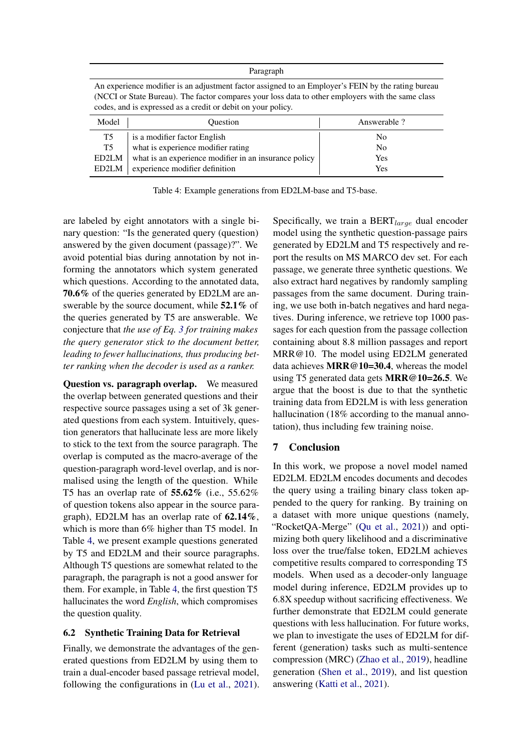| Paragraph |
|-----------|
|-----------|

<span id="page-8-0"></span>An experience modifier is an adjustment factor assigned to an Employer's FEIN by the rating bureau (NCCI or State Bureau). The factor compares your loss data to other employers with the same class codes, and is expressed as a credit or debit on your policy.

| Model | <b>Ouestion</b>                                       | Answerable? |
|-------|-------------------------------------------------------|-------------|
| T5    | is a modifier factor English                          | No          |
| T5    | what is experience modifier rating                    | No          |
| ED2LM | what is an experience modifier in an insurance policy | Yes         |
| ED2LM | experience modifier definition                        | Yes         |

Table 4: Example generations from ED2LM-base and T5-base.

are labeled by eight annotators with a single binary question: "Is the generated query (question) answered by the given document (passage)?". We avoid potential bias during annotation by not informing the annotators which system generated which questions. According to the annotated data, 70.6% of the queries generated by ED2LM are answerable by the source document, while **52.1%** of the queries generated by T5 are answerable. We conjecture that *the use of Eq. [3](#page-2-1) for training makes the query generator stick to the document better, leading to fewer hallucinations, thus producing better ranking when the decoder is used as a ranker.*

Question vs. paragraph overlap. We measured the overlap between generated questions and their respective source passages using a set of 3k generated questions from each system. Intuitively, question generators that hallucinate less are more likely to stick to the text from the source paragraph. The overlap is computed as the macro-average of the question-paragraph word-level overlap, and is normalised using the length of the question. While T5 has an overlap rate of 55.62% (i.e., 55.62% of question tokens also appear in the source paragraph), ED2LM has an overlap rate of 62.14%, which is more than 6% higher than T5 model. In Table [4,](#page-8-0) we present example questions generated by T5 and ED2LM and their source paragraphs. Although T5 questions are somewhat related to the paragraph, the paragraph is not a good answer for them. For example, in Table [4,](#page-8-0) the first question T5 hallucinates the word *English*, which compromises the question quality.

### 6.2 Synthetic Training Data for Retrieval

Finally, we demonstrate the advantages of the generated questions from ED2LM by using them to train a dual-encoder based passage retrieval model, following the configurations in [\(Lu et al.,](#page-10-17) [2021\)](#page-10-17). Specifically, we train a  $BERT_{large}$  dual encoder model using the synthetic question-passage pairs generated by ED2LM and T5 respectively and report the results on MS MARCO dev set. For each passage, we generate three synthetic questions. We also extract hard negatives by randomly sampling passages from the same document. During training, we use both in-batch negatives and hard negatives. During inference, we retrieve top 1000 passages for each question from the passage collection containing about 8.8 million passages and report MRR@10. The model using ED2LM generated data achieves MRR@10=30.4, whereas the model using T5 generated data gets MRR@10=26.5. We argue that the boost is due to that the synthetic training data from ED2LM is with less generation hallucination (18% according to the manual annotation), thus including few training noise.

# 7 Conclusion

In this work, we propose a novel model named ED2LM. ED2LM encodes documents and decodes the query using a trailing binary class token appended to the query for ranking. By training on a dataset with more unique questions (namely, "RocketQA-Merge" [\(Qu et al.,](#page-10-3) [2021\)](#page-10-3)) and optimizing both query likelihood and a discriminative loss over the true/false token, ED2LM achieves competitive results compared to corresponding T5 models. When used as a decoder-only language model during inference, ED2LM provides up to 6.8X speedup without sacrificing effectiveness. We further demonstrate that ED2LM could generate questions with less hallucination. For future works, we plan to investigate the uses of ED2LM for different (generation) tasks such as multi-sentence compression (MRC) [\(Zhao et al.,](#page-11-13) [2019\)](#page-11-13), headline generation [\(Shen et al.,](#page-11-14) [2019\)](#page-11-14), and list question answering [\(Katti et al.,](#page-10-18) [2021\)](#page-10-18).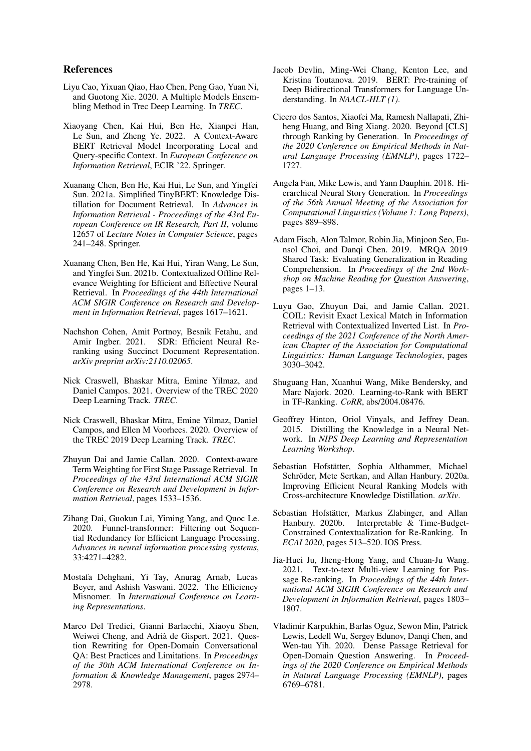### References

- <span id="page-9-19"></span>Liyu Cao, Yixuan Qiao, Hao Chen, Peng Gao, Yuan Ni, and Guotong Xie. 2020. A Multiple Models Ensembling Method in Trec Deep Learning. In *TREC*.
- <span id="page-9-4"></span>Xiaoyang Chen, Kai Hui, Ben He, Xianpei Han, Le Sun, and Zheng Ye. 2022. A Context-Aware BERT Retrieval Model Incorporating Local and Query-specific Context. In *European Conference on Information Retrieval*, ECIR '22. Springer.
- <span id="page-9-9"></span>Xuanang Chen, Ben He, Kai Hui, Le Sun, and Yingfei Sun. 2021a. Simplified TinyBERT: Knowledge Distillation for Document Retrieval. In *Advances in Information Retrieval - Proceedings of the 43rd European Conference on IR Research, Part II*, volume 12657 of *Lecture Notes in Computer Science*, pages 241–248. Springer.
- <span id="page-9-12"></span>Xuanang Chen, Ben He, Kai Hui, Yiran Wang, Le Sun, and Yingfei Sun. 2021b. Contextualized Offline Relevance Weighting for Efficient and Effective Neural Retrieval. In *Proceedings of the 44th International ACM SIGIR Conference on Research and Development in Information Retrieval*, pages 1617–1621.
- <span id="page-9-13"></span>Nachshon Cohen, Amit Portnoy, Besnik Fetahu, and Amir Ingber. 2021. SDR: Efficient Neural Reranking using Succinct Document Representation. *arXiv preprint arXiv:2110.02065*.
- <span id="page-9-16"></span>Nick Craswell, Bhaskar Mitra, Emine Yilmaz, and Daniel Campos. 2021. Overview of the TREC 2020 Deep Learning Track. *TREC*.
- <span id="page-9-15"></span>Nick Craswell, Bhaskar Mitra, Emine Yilmaz, Daniel Campos, and Ellen M Voorhees. 2020. Overview of the TREC 2019 Deep Learning Track. *TREC*.
- <span id="page-9-5"></span>Zhuyun Dai and Jamie Callan. 2020. Context-aware Term Weighting for First Stage Passage Retrieval. In *Proceedings of the 43rd International ACM SIGIR Conference on Research and Development in Information Retrieval*, pages 1533–1536.
- <span id="page-9-14"></span>Zihang Dai, Guokun Lai, Yiming Yang, and Quoc Le. 2020. Funnel-transformer: Filtering out Sequential Redundancy for Efficient Language Processing. *Advances in neural information processing systems*, 33:4271–4282.
- <span id="page-9-18"></span>Mostafa Dehghani, Yi Tay, Anurag Arnab, Lucas Beyer, and Ashish Vaswani. 2022. The Efficiency Misnomer. In *International Conference on Learning Representations*.
- <span id="page-9-20"></span>Marco Del Tredici, Gianni Barlacchi, Xiaoyu Shen, Weiwei Cheng, and Adrià de Gispert. 2021. Question Rewriting for Open-Domain Conversational QA: Best Practices and Limitations. In *Proceedings of the 30th ACM International Conference on Information & Knowledge Management*, pages 2974– 2978.
- <span id="page-9-0"></span>Jacob Devlin, Ming-Wei Chang, Kenton Lee, and Kristina Toutanova. 2019. BERT: Pre-training of Deep Bidirectional Transformers for Language Understanding. In *NAACL-HLT (1)*.
- <span id="page-9-6"></span>Cicero dos Santos, Xiaofei Ma, Ramesh Nallapati, Zhiheng Huang, and Bing Xiang. 2020. Beyond [CLS] through Ranking by Generation. In *Proceedings of the 2020 Conference on Empirical Methods in Natural Language Processing (EMNLP)*, pages 1722– 1727.
- <span id="page-9-21"></span>Angela Fan, Mike Lewis, and Yann Dauphin. 2018. Hierarchical Neural Story Generation. In *Proceedings of the 56th Annual Meeting of the Association for Computational Linguistics (Volume 1: Long Papers)*, pages 889–898.
- <span id="page-9-17"></span>Adam Fisch, Alon Talmor, Robin Jia, Minjoon Seo, Eunsol Choi, and Danqi Chen. 2019. MRQA 2019 Shared Task: Evaluating Generalization in Reading Comprehension. In *Proceedings of the 2nd Workshop on Machine Reading for Question Answering*, pages 1–13.
- <span id="page-9-2"></span>Luyu Gao, Zhuyun Dai, and Jamie Callan. 2021. COIL: Revisit Exact Lexical Match in Information Retrieval with Contextualized Inverted List. In *Proceedings of the 2021 Conference of the North American Chapter of the Association for Computational Linguistics: Human Language Technologies*, pages 3030–3042.
- <span id="page-9-3"></span>Shuguang Han, Xuanhui Wang, Mike Bendersky, and Marc Najork. 2020. Learning-to-Rank with BERT in TF-Ranking. *CoRR*, abs/2004.08476.
- <span id="page-9-8"></span>Geoffrey Hinton, Oriol Vinyals, and Jeffrey Dean. 2015. Distilling the Knowledge in a Neural Network. In *NIPS Deep Learning and Representation Learning Workshop*.
- <span id="page-9-10"></span>Sebastian Hofstätter, Sophia Althammer, Michael Schröder, Mete Sertkan, and Allan Hanbury. 2020a. Improving Efficient Neural Ranking Models with Cross-architecture Knowledge Distillation. *arXiv*.
- <span id="page-9-11"></span>Sebastian Hofstätter, Markus Zlabinger, and Allan Hanbury. 2020b. Interpretable & Time-Budget-Constrained Contextualization for Re-Ranking. In *ECAI 2020*, pages 513–520. IOS Press.
- <span id="page-9-7"></span>Jia-Huei Ju, Jheng-Hong Yang, and Chuan-Ju Wang. 2021. Text-to-text Multi-view Learning for Passage Re-ranking. In *Proceedings of the 44th International ACM SIGIR Conference on Research and Development in Information Retrieval*, pages 1803– 1807.
- <span id="page-9-1"></span>Vladimir Karpukhin, Barlas Oguz, Sewon Min, Patrick Lewis, Ledell Wu, Sergey Edunov, Danqi Chen, and Wen-tau Yih. 2020. Dense Passage Retrieval for Open-Domain Question Answering. In *Proceedings of the 2020 Conference on Empirical Methods in Natural Language Processing (EMNLP)*, pages 6769–6781.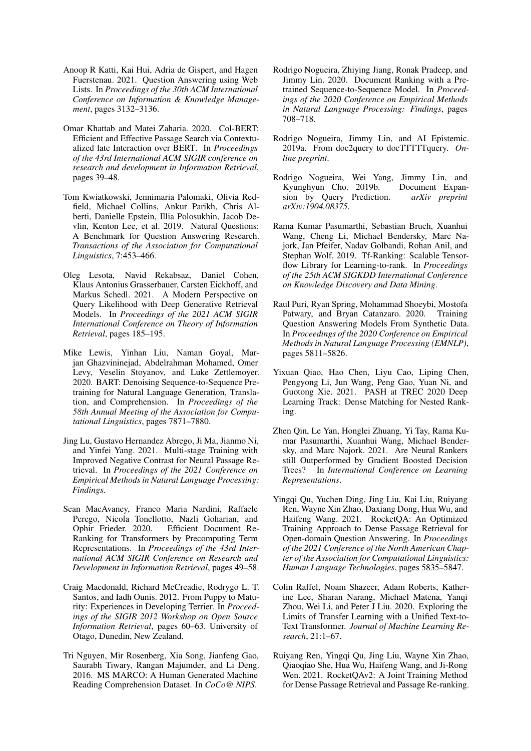- <span id="page-10-18"></span>Anoop R Katti, Kai Hui, Adria de Gispert, and Hagen Fuerstenau. 2021. Question Answering using Web Lists. In *Proceedings of the 30th ACM International Conference on Information & Knowledge Management*, pages 3132–3136.
- <span id="page-10-6"></span>Omar Khattab and Matei Zaharia. 2020. Col-BERT: Efficient and Effective Passage Search via Contextualized late Interaction over BERT. In *Proceedings of the 43rd International ACM SIGIR conference on research and development in Information Retrieval*, pages 39–48.
- <span id="page-10-11"></span>Tom Kwiatkowski, Jennimaria Palomaki, Olivia Redfield, Michael Collins, Ankur Parikh, Chris Alberti, Danielle Epstein, Illia Polosukhin, Jacob Devlin, Kenton Lee, et al. 2019. Natural Questions: A Benchmark for Question Answering Research. *Transactions of the Association for Computational Linguistics*, 7:453–466.
- <span id="page-10-7"></span>Oleg Lesota, Navid Rekabsaz, Daniel Cohen, Klaus Antonius Grasserbauer, Carsten Eickhoff, and Markus Schedl. 2021. A Modern Perspective on Query Likelihood with Deep Generative Retrieval Models. In *Proceedings of the 2021 ACM SIGIR International Conference on Theory of Information Retrieval*, pages 185–195.
- <span id="page-10-9"></span>Mike Lewis, Yinhan Liu, Naman Goyal, Marjan Ghazvininejad, Abdelrahman Mohamed, Omer Levy, Veselin Stoyanov, and Luke Zettlemoyer. 2020. BART: Denoising Sequence-to-Sequence Pretraining for Natural Language Generation, Translation, and Comprehension. In *Proceedings of the 58th Annual Meeting of the Association for Computational Linguistics*, pages 7871–7880.
- <span id="page-10-17"></span>Jing Lu, Gustavo Hernandez Abrego, Ji Ma, Jianmo Ni, and Yinfei Yang. 2021. Multi-stage Training with Improved Negative Contrast for Neural Passage Retrieval. In *Proceedings of the 2021 Conference on Empirical Methods in Natural Language Processing: Findings*.
- <span id="page-10-8"></span>Sean MacAvaney, Franco Maria Nardini, Raffaele Perego, Nicola Tonellotto, Nazli Goharian, and Ophir Frieder. 2020. Efficient Document Re-Ranking for Transformers by Precomputing Term Representations. In *Proceedings of the 43rd International ACM SIGIR Conference on Research and Development in Information Retrieval*, pages 49–58.
- <span id="page-10-13"></span>Craig Macdonald, Richard McCreadie, Rodrygo L. T. Santos, and Iadh Ounis. 2012. From Puppy to Maturity: Experiences in Developing Terrier. In *Proceedings of the SIGIR 2012 Workshop on Open Source Information Retrieval*, pages 60–63. University of Otago, Dunedin, New Zealand.
- <span id="page-10-10"></span>Tri Nguyen, Mir Rosenberg, Xia Song, Jianfeng Gao, Saurabh Tiwary, Rangan Majumder, and Li Deng. 2016. MS MARCO: A Human Generated Machine Reading Comprehension Dataset. In *CoCo@ NIPS*.
- <span id="page-10-0"></span>Rodrigo Nogueira, Zhiying Jiang, Ronak Pradeep, and Jimmy Lin. 2020. Document Ranking with a Pretrained Sequence-to-Sequence Model. In *Proceedings of the 2020 Conference on Empirical Methods in Natural Language Processing: Findings*, pages 708–718.
- <span id="page-10-2"></span>Rodrigo Nogueira, Jimmy Lin, and AI Epistemic. 2019a. From doc2query to docTTTTTquery. *Online preprint*.
- <span id="page-10-14"></span>Rodrigo Nogueira, Wei Yang, Jimmy Lin, and Kyunghyun Cho. 2019b. Document Expansion by Query Prediction. *arXiv preprint arXiv:1904.08375*.
- <span id="page-10-12"></span>Rama Kumar Pasumarthi, Sebastian Bruch, Xuanhui Wang, Cheng Li, Michael Bendersky, Marc Najork, Jan Pfeifer, Nadav Golbandi, Rohan Anil, and Stephan Wolf. 2019. Tf-Ranking: Scalable Tensorflow Library for Learning-to-rank. In *Proceedings of the 25th ACM SIGKDD International Conference on Knowledge Discovery and Data Mining*.
- <span id="page-10-16"></span>Raul Puri, Ryan Spring, Mohammad Shoeybi, Mostofa Patwary, and Bryan Catanzaro. 2020. Training Question Answering Models From Synthetic Data. In *Proceedings of the 2020 Conference on Empirical Methods in Natural Language Processing (EMNLP)*, pages 5811–5826.
- <span id="page-10-15"></span>Yixuan Qiao, Hao Chen, Liyu Cao, Liping Chen, Pengyong Li, Jun Wang, Peng Gao, Yuan Ni, and Guotong Xie. 2021. PASH at TREC 2020 Deep Learning Track: Dense Matching for Nested Ranking.
- <span id="page-10-4"></span>Zhen Qin, Le Yan, Honglei Zhuang, Yi Tay, Rama Kumar Pasumarthi, Xuanhui Wang, Michael Bendersky, and Marc Najork. 2021. Are Neural Rankers still Outperformed by Gradient Boosted Decision Trees? In *International Conference on Learning Representations*.
- <span id="page-10-3"></span>Yingqi Qu, Yuchen Ding, Jing Liu, Kai Liu, Ruiyang Ren, Wayne Xin Zhao, Daxiang Dong, Hua Wu, and Haifeng Wang. 2021. RocketQA: An Optimized Training Approach to Dense Passage Retrieval for Open-domain Question Answering. In *Proceedings of the 2021 Conference of the North American Chapter of the Association for Computational Linguistics: Human Language Technologies*, pages 5835–5847.
- <span id="page-10-1"></span>Colin Raffel, Noam Shazeer, Adam Roberts, Katherine Lee, Sharan Narang, Michael Matena, Yanqi Zhou, Wei Li, and Peter J Liu. 2020. Exploring the Limits of Transfer Learning with a Unified Text-to-Text Transformer. *Journal of Machine Learning Research*, 21:1–67.
- <span id="page-10-5"></span>Ruiyang Ren, Yingqi Qu, Jing Liu, Wayne Xin Zhao, Qiaoqiao She, Hua Wu, Haifeng Wang, and Ji-Rong Wen. 2021. RocketQAv2: A Joint Training Method for Dense Passage Retrieval and Passage Re-ranking.